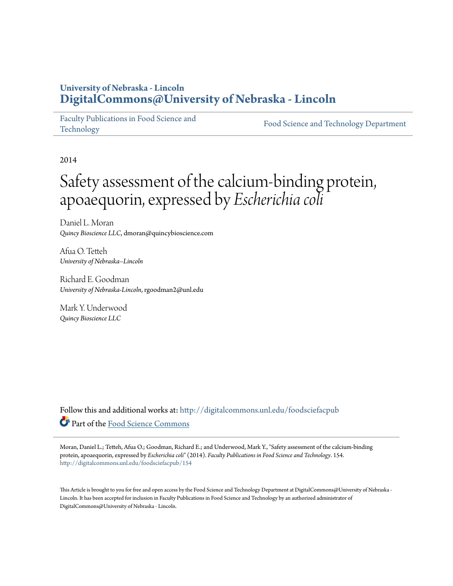### **University of Nebraska - Lincoln [DigitalCommons@University of Nebraska - Lincoln](http://digitalcommons.unl.edu?utm_source=digitalcommons.unl.edu%2Ffoodsciefacpub%2F154&utm_medium=PDF&utm_campaign=PDFCoverPages)**

[Faculty Publications in Food Science and](http://digitalcommons.unl.edu/foodsciefacpub?utm_source=digitalcommons.unl.edu%2Ffoodsciefacpub%2F154&utm_medium=PDF&utm_campaign=PDFCoverPages) [Technology](http://digitalcommons.unl.edu/foodsciefacpub?utm_source=digitalcommons.unl.edu%2Ffoodsciefacpub%2F154&utm_medium=PDF&utm_campaign=PDFCoverPages)

[Food Science and Technology Department](http://digitalcommons.unl.edu/ag_foodsci?utm_source=digitalcommons.unl.edu%2Ffoodsciefacpub%2F154&utm_medium=PDF&utm_campaign=PDFCoverPages)

2014

# Safety assessment of the calcium-binding protein, apoaequorin, expressed by *Escherichia coli*

Daniel L. Moran *Quincy Bioscience LLC*, dmoran@quincybioscience.com

Afua O. Tetteh *University of Nebraska–Lincoln*

Richard E. Goodman *University of Nebraska-Lincoln*, rgoodman2@unl.edu

Mark Y. Underwood *Quincy Bioscience LLC*

Follow this and additional works at: [http://digitalcommons.unl.edu/foodsciefacpub](http://digitalcommons.unl.edu/foodsciefacpub?utm_source=digitalcommons.unl.edu%2Ffoodsciefacpub%2F154&utm_medium=PDF&utm_campaign=PDFCoverPages) Part of the [Food Science Commons](http://network.bepress.com/hgg/discipline/84?utm_source=digitalcommons.unl.edu%2Ffoodsciefacpub%2F154&utm_medium=PDF&utm_campaign=PDFCoverPages)

Moran, Daniel L.; Tetteh, Afua O.; Goodman, Richard E.; and Underwood, Mark Y., "Safety assessment of the calcium-binding protein, apoaequorin, expressed by *Escherichia coli*" (2014). *Faculty Publications in Food Science and Technology*. 154. [http://digitalcommons.unl.edu/foodsciefacpub/154](http://digitalcommons.unl.edu/foodsciefacpub/154?utm_source=digitalcommons.unl.edu%2Ffoodsciefacpub%2F154&utm_medium=PDF&utm_campaign=PDFCoverPages)

This Article is brought to you for free and open access by the Food Science and Technology Department at DigitalCommons@University of Nebraska -Lincoln. It has been accepted for inclusion in Faculty Publications in Food Science and Technology by an authorized administrator of DigitalCommons@University of Nebraska - Lincoln.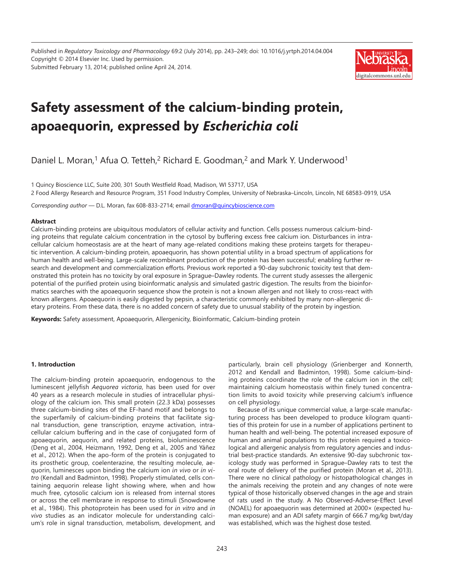Published in *[Regulatory Toxicology and Pharmacology](http://www.sciencedirect.com/science/journal/02732300)* 69:2 (July 2014), pp. 243–249; [doi: 10.1016/j.yrtph.2014.04.004](http://dx.doi.org/10.1016/j.yrtph.2014.04.004) Copyright © 2014 Elsevier Inc. Used by permission. Submitted February 13, 2014; published online April 24, 2014.



## **Safety assessment of the calcium-binding protein, apoaequorin, expressed by** *Escherichia coli*

[Daniel L. Moran](http://www.sciencedirect.com/science/article/pii/S0273230014000671),<sup>1</sup> [Afua O. Tetteh](http://www.sciencedirect.com/science/article/pii/S0273230014000671),<sup>2</sup> [Richard E. Goodman,](http://www.sciencedirect.com/science/article/pii/S0273230014000671)<sup>2</sup> and [Mark Y. Underwood](http://www.sciencedirect.com/science/article/pii/S0273230014000671)<sup>1</sup>

1 Quincy Bioscience LLC, Suite 200, 301 South Westfield Road, Madison, WI 53717, USA 2 Food Allergy Research and Resource Program, 351 Food Industry Complex, University of Nebraska–Lincoln, Lincoln, NE 68583-0919, USA

*Corresponding author —* D.L. Moran, fax 608-833-2714; email [dmoran@quincybioscience.com](mailto:dmoran@quincybioscience.com)

#### **Abstract**

Calcium-binding proteins are ubiquitous modulators of cellular activity and function. Cells possess numerous calcium-binding proteins that regulate calcium concentration in the cytosol by buffering excess free calcium ion. Disturbances in intracellular calcium homeostasis are at the heart of many age-related conditions making these proteins targets for therapeutic intervention. A calcium-binding protein, apoaequorin, has shown potential utility in a broad spectrum of applications for human health and well-being. Large-scale recombinant production of the protein has been successful; enabling further research and development and commercialization efforts. Previous work reported a 90-day subchronic toxicity test that demonstrated this protein has no toxicity by oral exposure in Sprague–Dawley rodents. The current study assesses the allergenic potential of the purified protein using bioinformatic analysis and simulated gastric digestion. The results from the bioinformatics searches with the apoaequorin sequence show the protein is not a known allergen and not likely to cross-react with known allergens. Apoaequorin is easily digested by pepsin, a characteristic commonly exhibited by many non-allergenic dietary proteins. From these data, there is no added concern of safety due to unusual stability of the protein by ingestion.

**Keywords:** Safety assessment, Apoaequorin, Allergenicity, Bioinformatic, Calcium-binding protein

#### **1. Introduction**

The calcium-binding protein apoaequorin, endogenous to the luminescent jellyfish *Aequorea victoria*, has been used for over 40 years as a research molecule in studies of intracellular physiology of the calcium ion. This small protein (22.3 kDa) possesses three calcium-binding sites of the EF-hand motif and belongs to the superfamily of calcium-binding proteins that facilitate signal transduction, gene transcription, enzyme activation, intracellular calcium buffering and in the case of conjugated form of apoaequorin, aequorin, and related proteins, bioluminescence ([Deng et al., 2004,](http://www.sciencedirect.com/science/article/pii/S0273230014000671#b0035) [Heizmann, 1992,](http://www.sciencedirect.com/science/article/pii/S0273230014000671#b9015) [Deng et al., 2005](http://www.sciencedirect.com/science/article/pii/S0273230014000671#b0040) and [Yáñez](http://www.sciencedirect.com/science/article/pii/S0273230014000671#b0135) [et al., 2012](http://www.sciencedirect.com/science/article/pii/S0273230014000671#b0135)). When the apo-form of the protein is conjugated to its prosthetic group, coelenterazine, the resulting molecule, aequorin, luminesces upon binding the calcium ion *in vivo* or *in vitro* ([Kendall and Badminton, 1998](http://www.sciencedirect.com/science/article/pii/S0273230014000671#b0070)). Properly stimulated, cells containing aequorin release light showing where, when and how much free, cytosolic calcium ion is released from internal stores or across the cell membrane in response to stimuli ([Snowdowne](http://www.sciencedirect.com/science/article/pii/S0273230014000671#b0120)  [et al., 1984](http://www.sciencedirect.com/science/article/pii/S0273230014000671#b0120)). This photoprotein has been used for *in vitro* and *in vivo* studies as an indicator molecule for understanding calcium's role in signal transduction, metabolism, development, and

particularly, brain cell physiology [\(Grienberger and Konnerth,](http://www.sciencedirect.com/science/article/pii/S0273230014000671#b0065) [2012](http://www.sciencedirect.com/science/article/pii/S0273230014000671#b0065) and [Kendall and Badminton, 1998\)](http://www.sciencedirect.com/science/article/pii/S0273230014000671#b0070). Some calcium-binding proteins coordinate the role of the calcium ion in the cell; maintaining calcium homeostasis within finely tuned concentration limits to avoid toxicity while preserving calcium's influence on cell physiology.

Because of its unique commercial value, a large-scale manufacturing process has been developed to produce kilogram quantities of this protein for use in a number of applications pertinent to human health and well-being. The potential increased exposure of human and animal populations to this protein required a toxicological and allergenic analysis from regulatory agencies and industrial best-practice standards. An extensive 90-day subchronic toxicology study was performed in Sprague–Dawley rats to test the oral route of delivery of the purified protein ([Moran et al., 2013\)](http://www.sciencedirect.com/science/article/pii/S0273230014000671#b0080). There were no clinical pathology or histopathological changes in the animals receiving the protein and any changes of note were typical of those historically observed changes in the age and strain of rats used in the study. A No Observed-Adverse-Effect Level (NOAEL) for apoaequorin was determined at 2000× (expected human exposure) and an ADI safety margin of 666.7 mg/kg bwt/day was established, which was the highest dose tested.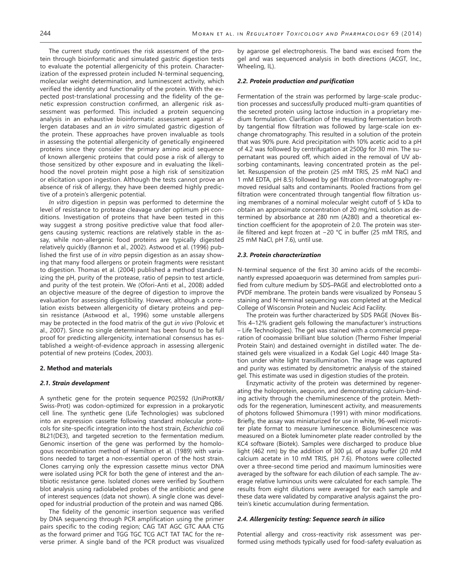The current study continues the risk assessment of the protein through bioinformatic and simulated gastric digestion tests to evaluate the potential allergenicity of this protein. Characterization of the expressed protein included N-terminal sequencing, molecular weight determination, and luminescent activity, which verified the identity and functionality of the protein. With the expected post-translational processing and the fidelity of the genetic expression construction confirmed, an allergenic risk assessment was performed. This included a protein sequencing analysis in an exhaustive bioinformatic assessment against allergen databases and an *in vitro* simulated gastric digestion of the protein. These approaches have proven invaluable as tools in assessing the potential allergenicity of genetically engineered proteins since they consider the primary amino acid sequence of known allergenic proteins that could pose a risk of allergy to those sensitized by other exposure and in evaluating the likelihood the novel protein might pose a high risk of sensitization or elicitation upon ingestion. Although the tests cannot prove an absence of risk of allergy, they have been deemed highly predictive of a protein's allergenic potential.

*In vitro* digestion in pepsin was performed to determine the level of resistance to protease cleavage under optimum pH conditions. Investigation of proteins that have been tested in this way suggest a strong positive predictive value that food allergens causing systemic reactions are relatively stable in the assay, while non-allergenic food proteins are typically digested relatively quickly [\(Bannon et al., 2002\)](http://www.sciencedirect.com/science/article/pii/S0273230014000671#b0015). [Astwood et al. \(1996\)](http://www.sciencedirect.com/science/article/pii/S0273230014000671#b0010) published the first use of *in vitro* pepsin digestion as an assay showing that many food allergens or protein fragments were resistant to digestion. [Thomas et al. \(2004\)](http://www.sciencedirect.com/science/article/pii/S0273230014000671#b0125) published a method standardizing the pH, purity of the protease, ratio of pepsin to test article, and purity of the test protein. We ([Ofori-Anti et al., 2008](http://www.sciencedirect.com/science/article/pii/S0273230014000671#b0090)) added an objective measure of the degree of digestion to improve the evaluation for assessing digestibility. However, although a correlation exists between allergenicity of dietary proteins and pepsin resistance ([Astwood et al., 1996\)](http://www.sciencedirect.com/science/article/pii/S0273230014000671#b0010) some unstable allergens may be protected in the food matrix of the gut *in vivo* ([Polovic et](http://www.sciencedirect.com/science/article/pii/S0273230014000671#b9000)  [al., 2007\)](http://www.sciencedirect.com/science/article/pii/S0273230014000671#b9000). Since no single determinant has been found to be full proof for predicting allergenicity, international consensus has established a weight-of-evidence approach in assessing allergenic potential of new proteins ([Codex, 2003](http://www.sciencedirect.com/science/article/pii/S0273230014000671#b0025)).

#### **2. Method and materials**

#### *2.1. Strain development*

A synthetic gene for the protein sequence [P02592](http://www.ncbi.nlm.nih.gov/entrez/query.fcgi?cmd=search&db=protein&doptcmdl=genbank&term=P02592%5baccn%5d) (UniProtKB/ Swiss-Prot) was codon-optimized for expression in a prokaryotic cell line. The synthetic gene (Life Technologies) was subcloned into an expression cassette following standard molecular protocols for site-specific integration into the host strain, *Escherichia coli* BL21(DE3), and targeted secretion to the fermentation medium. Genomic insertion of the gene was performed by the homologous recombination method of [Hamilton et al. \(1989\)](http://www.sciencedirect.com/science/article/pii/S0273230014000671#b9005) with variations needed to target a non-essential operon of the host strain. Clones carrying only the expression cassette minus vector DNA were isolated using PCR for both the gene of interest and the antibiotic resistance gene. Isolated clones were verified by Southern blot analysis using radiolabeled probes of the antibiotic and gene of interest sequences (data not shown). A single clone was developed for industrial production of the protein and was named QB6.

The fidelity of the genomic insertion sequence was verified by DNA sequencing through PCR amplification using the primer pairs specific to the coding region; CAG TAT AGC GTC AAA CTG as the forward primer and TGG TGC TCG ACT TAT TAC for the reverse primer. A single band of the PCR product was visualized by agarose gel electrophoresis. The band was excised from the gel and was sequenced analysis in both directions (ACGT, Inc., Wheeling, IL).

#### *2.2. Protein production and purification*

Fermentation of the strain was performed by large-scale production processes and successfully produced multi-gram quantities of the secreted protein using lactose induction in a proprietary medium formulation. Clarification of the resulting fermentation broth by tangential flow filtration was followed by large-scale ion exchange chromatography. This resulted in a solution of the protein that was 90% pure. Acid precipitation with 10% acetic acid to a pH of 4.2 was followed by centrifugation at 2500*g* for 30 min. The supernatant was poured off, which aided in the removal of UV absorbing contaminants, leaving concentrated protein as the pellet. Resuspension of the protein (25 mM TRIS, 25 mM NaCl and 1 mM EDTA, pH 8.5) followed by gel filtration chromatography removed residual salts and contaminants. Pooled fractions from gel filtration were concentrated through tangential flow filtration using membranes of a nominal molecular weight cutoff of 5 kDa to obtain an approximate concentration of 20 mg/mL solution as determined by absorbance at 280 nm (A280) and a theoretical extinction coefficient for the apoprotein of 2.0. The protein was sterile filtered and kept frozen at −20 °C in buffer (25 mM TRIS, and 25 mM NaCl, pH 7.6), until use.

#### *2.3. Protein characterization*

N-terminal sequence of the first 30 amino acids of the recombinantly expressed apoaequorin was determined from samples purified from culture medium by SDS–PAGE and electroblotted onto a PVDF membrane. The protein bands were visualized by Ponseau S staining and N-terminal sequencing was completed at the Medical College of Wisconsin Protein and Nucleic Acid Facility.

The protein was further characterized by SDS PAGE (Novex Bis-Tris 4–12% gradient gels following the manufacturer's instructions – Life Technologies). The gel was stained with a commercial preparation of coomassie brilliant blue solution (Thermo Fisher Imperial Protein Stain) and destained overnight in distilled water. The destained gels were visualized in a Kodak Gel Logic 440 Image Station under white light transillumination. The image was captured and purity was estimated by densitometric analysis of the stained gel. This estimate was used in digestion studies of the protein.

Enzymatic activity of the protein was determined by regenerating the holoprotein, aequorin, and demonstrating calcium-binding activity through the chemiluminescence of the protein. Methods for the regeneration, luminescent activity, and measurements of photons followed [Shimomura \(1991\)](http://www.sciencedirect.com/science/article/pii/S0273230014000671#b0115) with minor modifications. Briefly, the assay was miniaturized for use in white, 96-well microtiter plate format to measure luminescence. Bioluminescence was measured on a Biotek luminometer plate reader controlled by the KC4 software (Biotek). Samples were discharged to produce blue light (462 nm) by the addition of 300 μL of assay buffer (20 mM calcium acetate in 10 mM TRIS, pH 7.6). Photons were collected over a three-second time period and maximum luminosities were averaged by the software for each dilution of each sample. The average relative luminous units were calculated for each sample. The results from eight dilutions were averaged for each sample and these data were validated by comparative analysis against the protein's kinetic accumulation during fermentation.

#### *2.4. Allergenicity testing: Sequence search in silico*

Potential allergy and cross-reactivity risk assessment was performed using methods typically used for food-safety evaluation as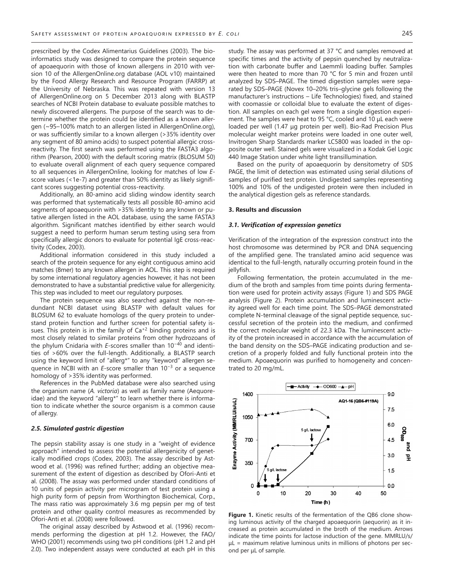prescribed by the [Codex Alimentarius Guidelines \(2003\).](http://www.sciencedirect.com/science/article/pii/S0273230014000671#b0025) The bioinformatics study was designed to compare the protein sequence of apoaequorin with those of known allergens in 2010 with version 10 of the AllergenOnline.org database (AOL v10) maintained by the Food Allergy Research and Resource Program (FARRP) at the University of Nebraska. This was repeated with version 13 of AllergenOnline.org on 5 December 2013 along with BLASTP searches of NCBI Protein database to evaluate possible matches to newly discovered allergens. The purpose of the search was to determine whether the protein could be identified as a known allergen (~95–100% match to an allergen listed in AllergenOnline.org), or was sufficiently similar to a known allergen (>35% identity over any segment of 80 amino acids) to suspect potential allergic crossreactivity. The first search was performed using the FASTA3 algorithm [\(Pearson, 2000](http://www.sciencedirect.com/science/article/pii/S0273230014000671#b0105)) with the default scoring matrix (BLOSUM 50) to evaluate overall alignment of each query sequence compared to all sequences in AllergenOnline, looking for matches of low *E*score values (<1e-7) and greater than 50% identity as likely significant scores suggesting potential cross-reactivity.

Additionally, an 80-amino acid sliding window identity search was performed that systematically tests all possible 80-amino acid segments of apoaequorin with >35% identity to any known or putative allergen listed in the AOL database, using the same FASTA3 algorithm. Significant matches identified by either search would suggest a need to perform human serum testing using sera from specifically allergic donors to evaluate for potential IgE cross-reactivity ([Codex, 2003](http://www.sciencedirect.com/science/article/pii/S0273230014000671#b0025)).

Additional information considered in this study included a search of the protein sequence for any eight contiguous amino acid matches (8mer) to any known allergen in AOL. This step is required by some international regulatory agencies however, it has not been demonstrated to have a substantial predictive value for allergenicity. This step was included to meet our regulatory purposes.

The protein sequence was also searched against the non-redundant NCBI dataset using BLASTP with default values for BLOSUM 62 to evaluate homologs of the query protein to understand protein function and further screen for potential safety issues. This protein is in the family of  $Ca^{+2}$  binding proteins and is most closely related to similar proteins from other hydrozoans of the phylum Cnidaria with *E*-scores smaller than 10−40 and identities of >60% over the full-length. Additionally, a BLASTP search using the keyword limit of "allerg\*" to any "keyword" allergen sequence in NCBI with an *E*-score smaller than 10<sup>-3</sup> or a sequence homology of >35% identity was performed.

References in the PubMed database were also searched using the organism name (*A. victoria*) as well as family name (Aequoreidae) and the keyword "allerg\*" to learn whether there is information to indicate whether the source organism is a common cause of allergy.

#### *2.5. Simulated gastric digestion*

The pepsin stability assay is one study in a "weight of evidence approach" intended to assess the potential allergenicity of genetically modified crops ([Codex, 2003\)](http://www.sciencedirect.com/science/article/pii/S0273230014000671#b0025). The assay described by [Ast](http://www.sciencedirect.com/science/article/pii/S0273230014000671#b0010)[wood et al. \(1996\)](http://www.sciencedirect.com/science/article/pii/S0273230014000671#b0010) was refined further; adding an objective measurement of the extent of digestion as described by [Ofori-Anti et](http://www.sciencedirect.com/science/article/pii/S0273230014000671#b0090) [al. \(2008\).](http://www.sciencedirect.com/science/article/pii/S0273230014000671#b0090) The assay was performed under standard conditions of 10 units of pepsin activity per microgram of test protein using a high purity form of pepsin from Worthington Biochemical, Corp., The mass ratio was approximately 3.6 mg pepsin per mg of test protein and other quality control measures as recommended by [Ofori-Anti et al. \(2008\)](http://www.sciencedirect.com/science/article/pii/S0273230014000671#b0090) were followed.

The original assay described by [Astwood et al. \(1996\)](http://www.sciencedirect.com/science/article/pii/S0273230014000671#b0010) recommends performing the digestion at pH 1.2. However, the [FAO/](http://www.sciencedirect.com/science/article/pii/S0273230014000671#b0045) [WHO \(2001\)](http://www.sciencedirect.com/science/article/pii/S0273230014000671#b0045) recommends using two pH conditions (pH 1.2 and pH 2.0). Two independent assays were conducted at each pH in this study. The assay was performed at 37 °C and samples removed at specific times and the activity of pepsin quenched by neutralization with carbonate buffer and Laemmli loading buffer. Samples were then heated to more than 70 °C for 5 min and frozen until analyzed by SDS–PAGE. The timed digestion samples were separated by SDS–PAGE (Novex 10–20% tris–glycine gels following the manufacturer's instructions – Life Technologies) fixed, and stained with coomassie or colloidal blue to evaluate the extent of digestion. All samples on each gel were from a single digestion experiment. The samples were heat to 95 °C, cooled and 10 μL each were loaded per well (1.47 μg protein per well). Bio-Rad Precision Plus molecular weight marker proteins were loaded in one outer well, Invitrogen Sharp Standards marker LC5800 was loaded in the opposite outer well. Stained gels were visualized in a Kodak Gel Logic 440 Image Station under white light transillumination.

Based on the purity of apoaequorin by densitometry of SDS PAGE, the limit of detection was estimated using serial dilutions of samples of purified test protein. Undigested samples representing 100% and 10% of the undigested protein were then included in the analytical digestion gels as reference standards.

### **3. Results and discussion**

#### *3.1. Verification of expression genetics*

Verification of the integration of the expression construct into the host chromosome was determined by PCR and DNA sequencing of the amplified gene. The translated amino acid sequence was identical to the full-length, naturally occurring protein found in the jellyfish.

Following fermentation, the protein accumulated in the medium of the broth and samples from time points during fermentation were used for protein activity assays [\(Figure 1\)](http://www.sciencedirect.com/science/article/pii/S0273230014000671#f0005) and SDS PAGE analysis ([Figure 2](http://www.sciencedirect.com/science/article/pii/S0273230014000671#f0010)). Protein accumulation and luminescent activity agreed well for each time point. The SDS–PAGE demonstrated complete N-terminal cleavage of the signal peptide sequence, successful secretion of the protein into the medium, and confirmed the correct molecular weight of 22.3 kDa. The luminescent activity of the protein increased in accordance with the accumulation of the band density on the SDS–PAGE indicating production and secretion of a properly folded and fully functional protein into the medium. Apoaequorin was purified to homogeneity and concentrated to 20 mg/mL.



Figure 1. Kinetic results of the fermentation of the QB6 clone showing luminous activity of the charged apoaequorin (aequorin) as it increased as protein accumulated in the broth of the medium. Arrows indicate the time points for lactose induction of the gene. MMRLU/s/  $\mu$ L = maximum relative luminous units in millions of photons per second per μL of sample.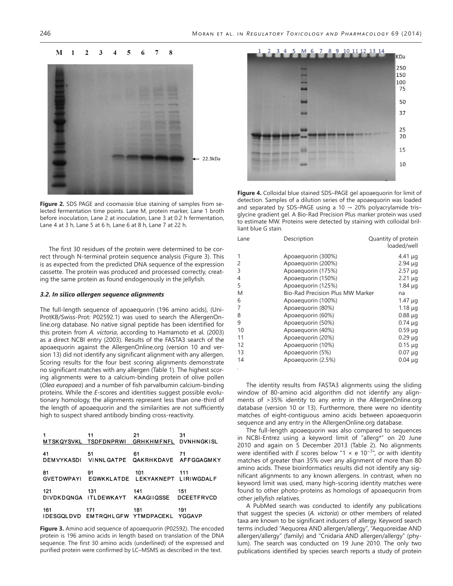#### $\mathbf{M}$  $\mathbf{1}$  $\overline{2}$  $\mathbf{3}$  $\overline{\mathbf{4}}$ 5 6  $\overline{7}$ 8



**Figure 2.** SDS PAGE and coomassie blue staining of samples from selected fermentation time points. Lane M, protein marker, Lane 1 broth before inoculation, Lane 2 at inoculation, Lane 3 at 0.2 h fermentation, Lane 4 at 3 h, Lane 5 at 6 h, Lane 6 at 8 h, Lane 7 at 22 h.

The first 30 residues of the protein were determined to be correct through N-terminal protein sequence analysis ([Figure 3\)](http://www.sciencedirect.com/science/article/pii/S0273230014000671#f0015). This is as expected from the predicted DNA sequence of the expression cassette. The protein was produced and processed correctly, creating the same protein as found endogenously in the jellyfish.

#### *3.2. In silico allergen sequence alignments*

The full-length sequence of apoaequorin (196 amino acids), (Uni-ProtKB/Swiss-Prot: [P02592.1\)](http://www.ncbi.nlm.nih.gov/entrez/query.fcgi?cmd=search&db=protein&doptcmdl=genbank&term=P02592.1%5baccn%5d) was used to search the AllergenOnline.org database. No native signal peptide has been identified for this protein from *A. victoria*, according to [Hamamoto et al. \(2003\)](http://www.sciencedirect.com/science/article/pii/S0273230014000671#b9010)  as a direct NCBI entry (2003). Results of the FASTA3 search of the apoaequorin against the AllergenOnline.org (version 10 and version 13) did not identify any significant alignment with any allergen. Scoring results for the four best scoring alignments demonstrate no significant matches with any allergen ([Table 1\)](http://www.sciencedirect.com/science/article/pii/S0273230014000671#t0005). The highest scoring alignments were to a calcium-binding protein of olive pollen (*Olea europaea*) and a number of fish parvalbumin calcium-binding proteins. While the *E*-scores and identities suggest possible evolutionary homology, the alignments represent less than one-third of the length of apoaequorin and the similarities are not sufficiently high to suspect shared antibody binding cross-reactivity.

|     | 11<br>MTSKQYSVKL TSDFDNPRWI GRHKHMFNFL DVNHNGKISL  | 21  | 31  |
|-----|----------------------------------------------------|-----|-----|
| 41  | 51<br>DEMVYKASDI VINNLGATPE QAKRHKDAVE AFFGGAGMKY  | 61  | 71  |
| 81  | 91<br>GVETDWPAYI EGWKKLATDE LEKYAKNEPT LIRIWGDALF  | 101 | 111 |
| 121 | 131<br>DIVDKDONGA ITLDEWKAYT KAAGIIQSSE DCEETFRVCD | 141 | 151 |
| 161 | 171<br>IDESGQLDVD EMTRQHLGFW YTMDPACEKL YGGAVP     | 181 | 191 |

**Figure 3.** Amino acid sequence of apoaequorin (P02592). The encoded protein is 196 amino acids in length based on translation of the DNA sequence. The first 30 amino acids (underlined) of the expressed and purified protein were confirmed by LC–MSMS as described in the text.



**Figure 4.** Colloidal blue stained SDS–PAGE gel apoaequorin for limit of detection. Samples of a dilution series of the apoaequorin was loaded and separated by SDS–PAGE using a 10  $\rightarrow$  20% polyacrylamide tris– glycine gradient gel. A Bio-Rad Precision Plus marker protein was used to estimate MW. Proteins were detected by staining with colloidal brilliant blue G stain.

| Description<br>Lane                          | Quantity of protein<br>loaded/well |
|----------------------------------------------|------------------------------------|
| Apoaequorin (300%)                           | $4.41 \mu q$                       |
| 2<br>Apoaequorin (200%)                      | $2.94 \mu q$                       |
| 3<br>Apoaequorin (175%)                      | $2.57 \mu q$                       |
| Apoaequorin (150%)<br>4                      | $2.21 \mu g$                       |
| 5<br>Apoaequorin (125%)                      | $1.84 \mu q$                       |
| <b>Bio-Rad Precision Plus MW Marker</b><br>Μ | na                                 |
| 6<br>Apoaequorin (100%)                      | 1.47 $\mu$ g                       |
| Apoaequorin (80%)<br>7                       | $1.18 \mu q$                       |
| 8<br>Apoaequorin (60%)                       | $0.88 \mu q$                       |
| 9<br>Apoaequorin (50%)                       | $0.74 \mu q$                       |
| 10<br>Apoaequorin (40%)                      | $0.59 \mu q$                       |
| 11<br>Apoaequorin (20%)                      | $0.29 \mu q$                       |
| 12<br>Apoaequorin (10%)                      | $0.15 \mu q$                       |
| 13<br>Apoaequorin (5%)                       | $0.07 \mu g$                       |
| 14<br>Apoaequorin (2.5%)                     | $0.04 \mu g$                       |

The identity results from FASTA3 alignments using the sliding window of 80-amino acid algorithm did not identify any alignments of >35% identity to any entry in the AllergenOnline.org database (version 10 or 13). Furthermore, there were no identity matches of eight-contiguous amino acids between apoaequorin sequence and any entry in the AllergenOnline.org database.

The full-length apoaequorin was also compared to sequences in NCBI-Entrez using a keyword limit of "allerg\*" on 20 June 2010 and again on 5 December 2013 ([Table 2\)](http://www.sciencedirect.com/science/article/pii/S0273230014000671#t0010). No alignments were identified with *E* scores below "1 × e 10<sup>-7</sup>", or with identity matches of greater than 35% over any alignment of more than 80 amino acids. These bioinformatics results did not identify any significant alignments to any known allergens. In contrast, when no keyword limit was used, many high-scoring identity matches were found to other photo-proteins as homologs of apoaequorin from other jellyfish relatives.

A PubMed search was conducted to identify any publications that suggest the species (*A. victoria*) or other members of related taxa are known to be significant inducers of allergy. Keyword search terms included "Aequorea AND allergen/allergy", "Aequoreidae AND allergen/allergy" (family) and "Cnidaria AND allergen/allergy" (phylum). The search was conducted on 19 June 2010. The only two publications identified by species search reports a study of protein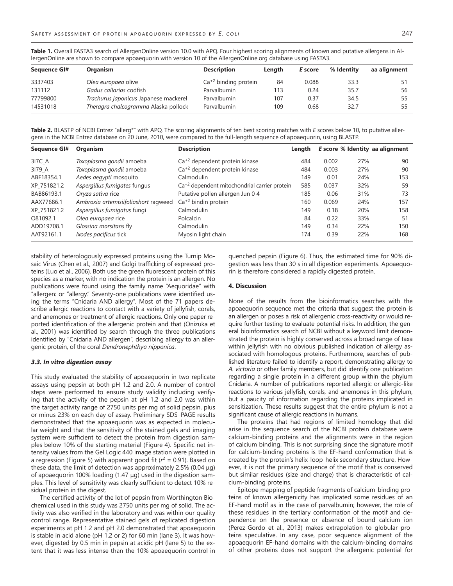Table 1. Overall FASTA3 search of AllergenOnline version 10.0 with APQ. Four highest scoring alignments of known and putative allergens in AllergenOnline are shown to compare apoaequorin with version 10 of the [AllergenOnline.org](http://AllergenOnline.org) database using FASTA3.

| Sequence GI# | <b>Organism</b>                       | <b>Description</b>     | Length | E score | % Identity | aa alignment |
|--------------|---------------------------------------|------------------------|--------|---------|------------|--------------|
| 3337403      | Olea europaea olive                   | $Ca+2$ binding protein | 84     | 0.088   | 33.3       |              |
| 131112       | Gadus callarias codfish               | Parvalbumin            | 113    | 0.24    | 35.7       | 56           |
| 77799800     | Trachurus japonicus Japanese mackerel | Parvalbumin            | 107    | 0.37    | 34.5       | 55           |
| 14531018     | Theragra chalcogramma Alaska pollock  | Parvalbumin            | 109    | 0.68    | 32.7       | 55           |

Table 2. BLASTP of NCBI Entrez "allerg\*" with APQ. The scoring alignments of ten best scoring matches with *E* scores below 10, to putative allergens in the NCBI Entrez database on 20 June, 2010, were compared to the full-length sequence of apoaequorin, using BLASTP.

| Sequence GI# | Organism                             | <b>Description</b>                                       | Length |       |     | E score % Identity aa alignment |
|--------------|--------------------------------------|----------------------------------------------------------|--------|-------|-----|---------------------------------|
| 317C_A       | Toxoplasma gondii amoeba             | $Ca+2$ dependent protein kinase                          | 484    | 0.002 | 27% | 90                              |
| 3179 A       | Toxoplasma gondii amoeba             | $Ca+2$ dependent protein kinase                          | 484    | 0.003 | 27% | 90                              |
| ABF18354.1   | Aedes aegypti mosquito               | Calmodulin                                               | 149    | 0.01  | 24% | 153                             |
| XP 751821.2  | Aspergillus fumigates fungus         | Ca <sup>+2</sup> dependent mitochondrial carrier protein | 585    | 0.037 | 32% | 59                              |
| BAB86193.1   | Oryza sativa rice                    | Putative pollen allergen Jun 0 4                         | 185    | 0.06  | 31% | 73                              |
| AAX77686.1   | Ambroxia artemisiifoliashort ragweed | $Ca+2$ bindin protein                                    | 160    | 0.069 | 24% | 157                             |
| XP 751821.2  | Aspergillus fumigatus fungi          | Calmodulin                                               | 149    | 0.18  | 20% | 158                             |
| O81092.1     | Olea europaea rice                   | Polcalcin                                                | 84     | 0.22  | 33% | 51                              |
| ADD19708.1   | Glossina morsitans fly               | Calmodulin                                               | 149    | 0.34  | 22% | 150                             |
| AAT92161.1   | Ixodes pacificus tick                | Myosin light chain                                       | 174    | 0.39  | 22% | 168                             |

stability of heterologously expressed proteins using the Turnip Mosaic Virus [\(Chen et al., 2007\)](http://www.sciencedirect.com/science/article/pii/S0273230014000671#b0020) and Golgi trafficking of expressed proteins [\(Luo et al., 2006\)](http://www.sciencedirect.com/science/article/pii/S0273230014000671#b0075). Both use the green fluorescent protein of this species as a marker, with no indication the protein is an allergen. No publications were found using the family name "Aequoridae" with "allergen: or "allergy." Seventy-one publications were identified using the terms "Cnidaria AND allergy". Most of the 71 papers describe allergic reactions to contact with a variety of jellyfish, corals, and anemones or treatment of allergic reactions. Only one paper reported identification of the allergenic protein and that ([Onizuka et](http://www.sciencedirect.com/science/article/pii/S0273230014000671#b0095)  [al., 2001](http://www.sciencedirect.com/science/article/pii/S0273230014000671#b0095)) was identified by search through the three publications identified by "Cnidaria AND allergen", describing allergy to an allergenic protein, of the coral *Dendronephthya nipponica*.

#### *3.3. In vitro digestion assay*

This study evaluated the stability of apoaequorin in two replicate assays using pepsin at both pH 1.2 and 2.0. A number of control steps were performed to ensure study validity including verifying that the activity of the pepsin at pH 1.2 and 2.0 was within the target activity range of 2750 units per mg of solid pepsin, plus or minus 23% on each day of assay. Preliminary SDS–PAGE results demonstrated that the apoaequorin was as expected in molecular weight and that the sensitivity of the stained gels and imaging system were sufficient to detect the protein from digestion samples below 10% of the starting material ([Figure 4](http://www.sciencedirect.com/science/article/pii/S0273230014000671#f0045)). Specific net intensity values from the Gel Logic 440 image station were plotted in a regression [\(Figure 5\)](http://www.sciencedirect.com/science/article/pii/S0273230014000671#f0025) with apparent good fit  $(r^2 = 0.91)$ . Based on these data, the limit of detection was approximately 2.5% (0.04 μg) of apoaequorin 100% loading (1.47 μg) used in the digestion samples. This level of sensitivity was clearly sufficient to detect 10% residual protein in the digest.

The certified activity of the lot of pepsin from Worthington Biochemical used in this study was 2750 units per mg of solid. The activity was also verified in the laboratory and was within our quality control range. Representative stained gels of replicated digestion experiments at pH 1.2 and pH 2.0 demonstrated that apoaequorin is stable in acid alone (pH 1.2 or 2) for 60 min (lane 3). It was however, digested by 0.5 min in pepsin at acidic pH (lane 5) to the extent that it was less intense than the 10% apoaequorin control in

quenched pepsin ([Figure 6](http://www.sciencedirect.com/science/article/pii/S0273230014000671#f0030)). Thus, the estimated time for 90% digestion was less than 30 s in all digestion experiments. Apoaequorin is therefore considered a rapidly digested protein.

#### **4. Discussion**

None of the results from the bioinformatics searches with the apoaequorin sequence met the criteria that suggest the protein is an allergen or poses a risk of allergenic cross-reactivity or would require further testing to evaluate potential risks. In addition, the general bioinformatics search of NCBI without a keyword limit demonstrated the protein is highly conserved across a broad range of taxa within jellyfish with no obvious published indication of allergy associated with homologous proteins. Furthermore, searches of published literature failed to identify a report, demonstrating allergy to *A. victoria* or other family members, but did identify one publication regarding a single protein in a different group within the phylum Cnidaria. A number of publications reported allergic or allergic-like reactions to various jellyfish, corals, and anemones in this phylum, but a paucity of information regarding the proteins implicated in sensitization. These results suggest that the entire phylum is not a significant cause of allergic reactions in humans.

The proteins that had regions of limited homology that did arise in the sequence search of the NCBI protein database were calcium-binding proteins and the alignments were in the region of calcium binding. This is not surprising since the signature motif for calcium-binding proteins is the EF-hand conformation that is created by the protein's helix-loop-helix secondary structure. However, it is not the primary sequence of the motif that is conserved but similar residues (size and charge) that is characteristic of calcium-binding proteins.

Epitope mapping of peptide fragments of calcium-binding proteins of known allergenicity has implicated some residues of an EF-hand motif as in the case of parvalbumin; however, the role of these residues in the tertiary conformation of the motif and dependence on the presence or absence of bound calcium ion ([Perez-Gordo et al., 2013\)](http://www.sciencedirect.com/science/article/pii/S0273230014000671#b0110) makes extrapolation to globular proteins speculative. In any case, poor sequence alignment of the apoaequorin EF-hand domains with the calcium-binding domains of other proteins does not support the allergenic potential for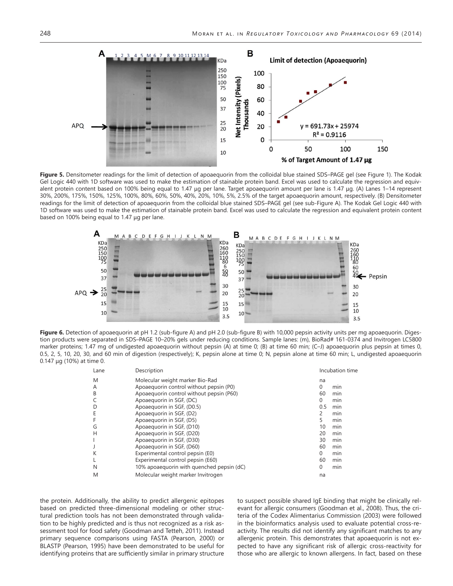

Figure 5. Densitometer readings for the limit of detection of apoaequorin from the colloidal blue stained SDS-PAGE gel (see [Figure 1](http://www.sciencedirect.com/science/article/pii/S0273230014000671#f0005)). The Kodak Gel Logic 440 with 1D software was used to make the estimation of stainable protein band. Excel was used to calculate the regression and equivalent protein content based on 100% being equal to 1.47 μg per lane. Target apoaequorin amount per lane is 1.47 μg. (A) Lanes 1–14 represent 30%, 200%, 175%, 150%, 125%, 100%, 80%, 60%, 50%, 40%, 20%, 10%, 5%, 2.5% of the target apoaequorin amount, respectively. (B) Densitometer readings for the limit of detection of apoaequorin from the colloidal blue stained SDS–PAGE gel (see sub-Figure A). The Kodak Gel Logic 440 with 1D software was used to make the estimation of stainable protein band. Excel was used to calculate the regression and equivalent protein content based on 100% being equal to 1.47 μg per lane.



Figure 6. Detection of apoaequorin at pH 1.2 (sub-figure A) and pH 2.0 (sub-figure B) with 10,000 pepsin activity units per mg apoaequorin. Digestion products were separated in SDS-PAGE 10-20% gels under reducing conditions. Sample lanes: (m), BioRad# 161-0374 and Invitrogen LC5800 marker proteins; 1.47 mg of undigested apoaequorin without pepsin (A) at time 0; (B) at time 60 min; (C-J) apoaequorin plus pepsin at times 0, 0.5, 2, 5, 10, 20, 30, and 60 min of digestion (respectively); K, pepsin alone at time 0; N, pepsin alone at time 60 min; L, undigested apoaequorin 0.147 μg (10%) at time 0.

| Lane | Description                               | Incubation time |
|------|-------------------------------------------|-----------------|
| M    | Molecular weight marker Bio-Rad           | na              |
| A    | Apoaequorin control without pepsin (P0)   | $\Omega$<br>min |
| B    | Apoaequorin control without pepsin (P60)  | 60<br>min       |
|      | Apoaequorin in SGF, (DC)                  | $\Omega$<br>min |
|      | Apoaequorin in SGF, (D0.5)                | 0.5<br>min      |
|      | Apoaequorin in SGF, (D2)                  | min             |
|      | Apoaequorin in SGF, (D5)                  | 5<br>min        |
| G    | Apoaequorin in SGF, (D10)                 | 10<br>min       |
| Н    | Apoaequorin in SGF, (D20)                 | 20<br>min       |
|      | Apoaequorin in SGF, (D30)                 | 30<br>min       |
|      | Apoaequorin in SGF, (D60)                 | 60<br>min       |
| К    | Experimental control pepsin (E0)          | $\Omega$<br>min |
|      | Experimental control pepsin (E60)         | min<br>60       |
| N    | 10% apoaequorin with quenched pepsin (dC) | min<br>0        |
| M    | Molecular weight marker Invitrogen        | na              |

the protein. Additionally, the ability to predict allergenic epitopes based on predicted three-dimensional modeling or other structural prediction tools has not been demonstrated through validation to be highly predicted and is thus not recognized as a risk assessment tool for food safety ([Goodman and Tetteh, 2011](http://www.sciencedirect.com/science/article/pii/S0273230014000671#b0055)). Instead primary sequence comparisons using FASTA ([Pearson, 2000](http://www.sciencedirect.com/science/article/pii/S0273230014000671#b0105)) or BLASTP ([Pearson, 1995\)](http://www.sciencedirect.com/science/article/pii/S0273230014000671#b0100) have been demonstrated to be useful for identifying proteins that are sufficiently similar in primary structure to suspect possible shared IgE binding that might be clinically relevant for allergic consumers ([Goodman et al., 2008\)](http://www.sciencedirect.com/science/article/pii/S0273230014000671#b0060). Thus, the criteria of the [Codex Alimentarius Commission \(2003\)](http://www.sciencedirect.com/science/article/pii/S0273230014000671#b0025) were followed in the bioinformatics analysis used to evaluate potential cross-reactivity. The results did not identify any significant matches to any allergenic protein. This demonstrates that apoaequorin is not expected to have any significant risk of allergic cross-reactivity for those who are allergic to known allergens. In fact, based on these